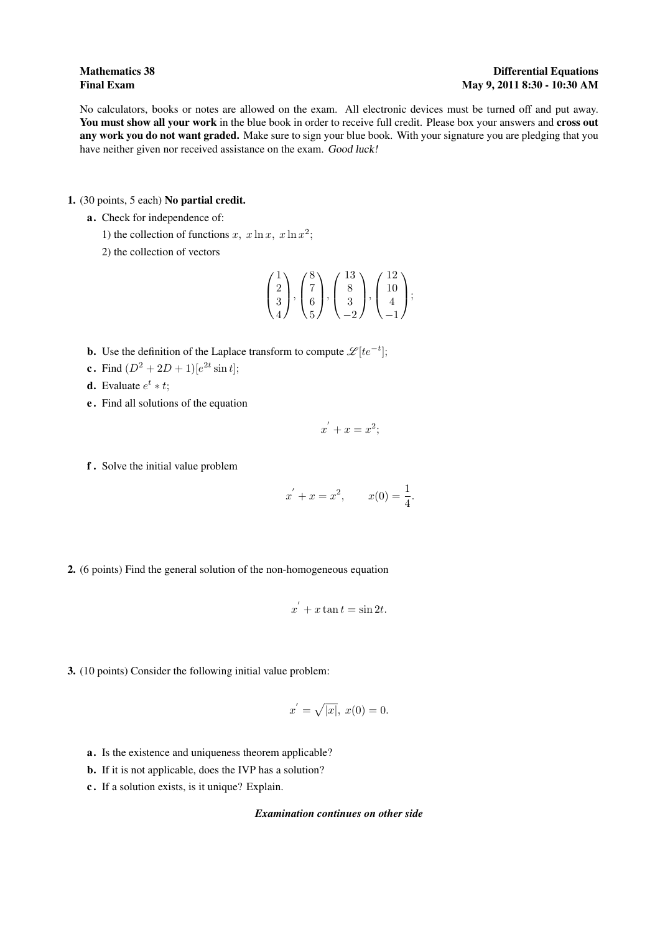No calculators, books or notes are allowed on the exam. All electronic devices must be turned off and put away. You must show all your work in the blue book in order to receive full credit. Please box your answers and cross out any work you do not want graded. Make sure to sign your blue book. With your signature you are pledging that you have neither given nor received assistance on the exam. Good luck!

1. (30 points, 5 each) No partial credit.

- a. Check for independence of:
	- 1) the collection of functions x,  $x \ln x$ ,  $x \ln x^2$ ;

2) the collection of vectors

$$
\begin{pmatrix} 1 \\ 2 \\ 3 \\ 4 \end{pmatrix}, \begin{pmatrix} 8 \\ 7 \\ 6 \\ 5 \end{pmatrix}, \begin{pmatrix} 13 \\ 8 \\ 3 \\ -2 \end{pmatrix}, \begin{pmatrix} 12 \\ 10 \\ 4 \\ -1 \end{pmatrix};
$$

- **b.** Use the definition of the Laplace transform to compute  $\mathscr{L}[te^{-t}]$ ;
- **c**. Find  $(D^2 + 2D + 1)[e^{2t} \sin t]$ ;
- **d.** Evaluate  $e^t * t$ ;
- e . Find all solutions of the equation

$$
x^{'} + x = x^2;
$$

f . Solve the initial value problem

$$
x' + x = x^2
$$
,  $x(0) = \frac{1}{4}$ .

2. (6 points) Find the general solution of the non-homogeneous equation

$$
x^{'} + x \tan t = \sin 2t.
$$

3. (10 points) Consider the following initial value problem:

$$
x^{'} = \sqrt{|x|}, \ x(0) = 0.
$$

- a. Is the existence and uniqueness theorem applicable?
- b. If it is not applicable, does the IVP has a solution?
- c . If a solution exists, is it unique? Explain.

## *Examination continues on other side*